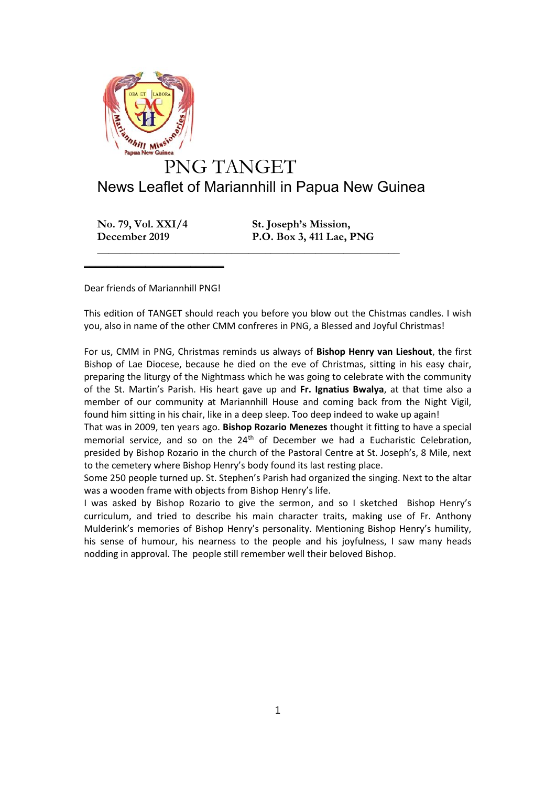

## News Leaflet of Mariannhill in Papua New Guinea

**\_\_\_\_\_\_\_\_\_\_\_\_\_\_\_\_\_\_\_\_\_\_\_\_\_\_\_\_\_\_\_\_\_\_\_\_\_\_\_\_\_\_\_\_\_\_\_\_\_\_\_\_\_\_**

**No. 79, Vol. XXI/4 St. Joseph's Mission,**

**December 2019 P.O. Box 3, 411 Lae, PNG**

Dear friends of Mariannhill PNG!

 $\frac{1}{2}$  , and the set of the set of the set of the set of the set of the set of the set of the set of the set of the set of the set of the set of the set of the set of the set of the set of the set of the set of the set

This edition of TANGET should reach you before you blow out the Chistmas candles. I wish you, also in name of the other CMM confreres in PNG, a Blessed and Joyful Christmas!

For us, CMM in PNG, Christmas reminds us always of **Bishop Henry van Lieshout**, the first Bishop of Lae Diocese, because he died on the eve of Christmas, sitting in his easy chair, preparing the liturgy of the Nightmass which he was going to celebrate with the community of the St. Martin's Parish. His heart gave up and **Fr. Ignatius Bwalya**, at that time also a member of our community at Mariannhill House and coming back from the Night Vigil, found him sitting in his chair, like in a deep sleep. Too deep indeed to wake up again!

That was in 2009, ten years ago. **Bishop Rozario Menezes** thought it fitting to have a special memorial service, and so on the  $24<sup>th</sup>$  of December we had a Eucharistic Celebration, presided by Bishop Rozario in the church of the Pastoral Centre at St. Joseph's, 8 Mile, next to the cemetery where Bishop Henry's body found its last resting place.

Some 250 people turned up. St. Stephen's Parish had organized the singing. Next to the altar was a wooden frame with objects from Bishop Henry's life.

I was asked by Bishop Rozario to give the sermon, and so I sketched Bishop Henry's curriculum, and tried to describe his main character traits, making use of Fr. Anthony Mulderink's memories of Bishop Henry's personality. Mentioning Bishop Henry's humility, his sense of humour, his nearness to the people and his joyfulness, I saw many heads nodding in approval. The people still remember well their beloved Bishop.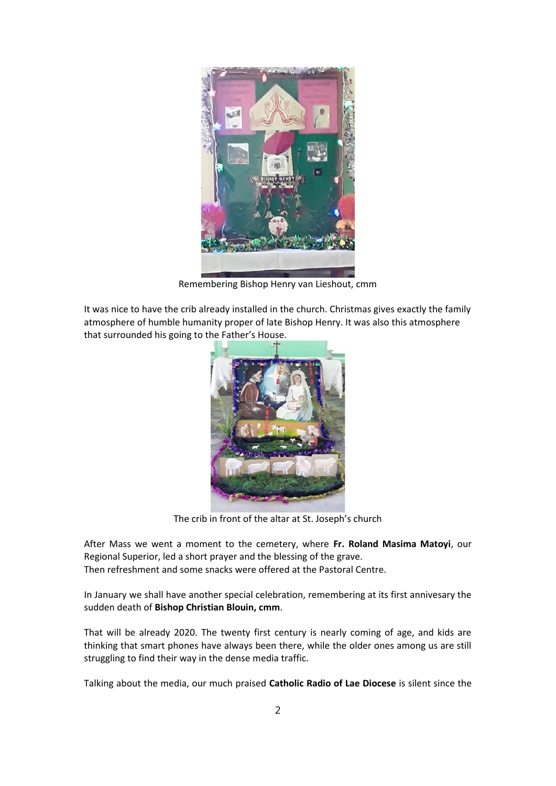

Remembering Bishop Henry van Lieshout, cmm

It was nice to have the crib already installed in the church. Christmas gives exactly the family atmosphere of humble humanity proper of late Bishop Henry. It was also this atmosphere that surrounded his going to the Father's House.



The crib in front of the altar at St. Joseph's church

After Mass we went a moment to the cemetery, where **Fr. Roland Masima Matoyi**, our Regional Superior, led a short prayer and the blessing of the grave. Then refreshment and some snacks were offered at the Pastoral Centre.

In January we shall have another special celebration, remembering at its first annivesary the sudden death of **Bishop Christian Blouin, cmm**.

That will be already 2020. The twenty first century is nearly coming of age, and kids are thinking that smart phones have always been there, while the older ones among us are still struggling to find their way in the dense media traffic.

Talking about the media, our much praised **Catholic Radio of Lae Diocese** is silent since the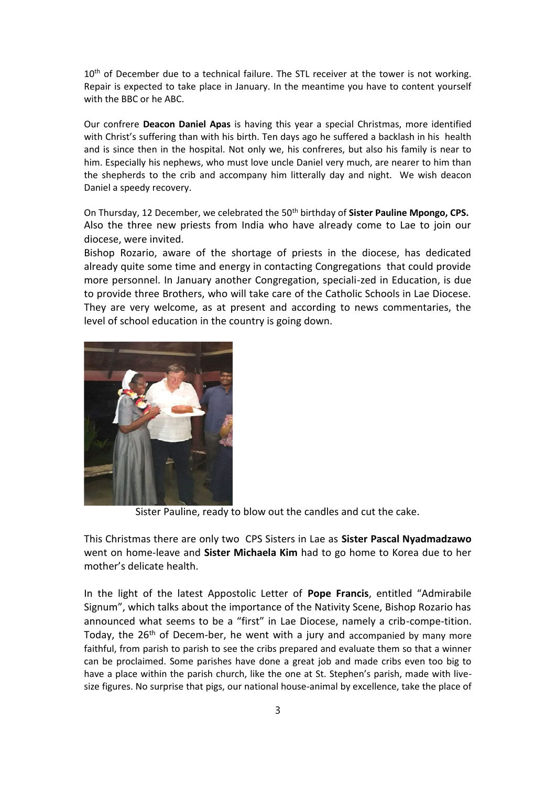10<sup>th</sup> of December due to a technical failure. The STL receiver at the tower is not working. Repair is expected to take place in January. In the meantime you have to content yourself with the BBC or he ABC.

Our confrere **Deacon Daniel Apas** is having this year a special Christmas, more identified with Christ's suffering than with his birth. Ten days ago he suffered a backlash in his health and is since then in the hospital. Not only we, his confreres, but also his family is near to him. Especially his nephews, who must love uncle Daniel very much, are nearer to him than the shepherds to the crib and accompany him litterally day and night. We wish deacon Daniel a speedy recovery.

On Thursday, 12 December, we celebrated the 50<sup>th</sup> birthday of **Sister Pauline Mpongo, CPS.** Also the three new priests from India who have already come to Lae to join our diocese, were invited.

Bishop Rozario, aware of the shortage of priests in the diocese, has dedicated already quite some time and energy in contacting Congregations that could provide more personnel. In January another Congregation, speciali-zed in Education, is due to provide three Brothers, who will take care of the Catholic Schools in Lae Diocese. They are very welcome, as at present and according to news commentaries, the level of school education in the country is going down.



Sister Pauline, ready to blow out the candles and cut the cake.

This Christmas there are only two CPS Sisters in Lae as **Sister Pascal Nyadmadzawo** went on home-leave and **Sister Michaela Kim** had to go home to Korea due to her mother's delicate health.

In the light of the latest Appostolic Letter of **Pope Francis**, entitled "Admirabile Signum", which talks about the importance of the Nativity Scene, Bishop Rozario has announced what seems to be a "first" in Lae Diocese, namely a crib-compe-tition. Today, the  $26<sup>th</sup>$  of Decem-ber, he went with a jury and accompanied by many more faithful, from parish to parish to see the cribs prepared and evaluate them so that a winner can be proclaimed. Some parishes have done a great job and made cribs even too big to have a place within the parish church, like the one at St. Stephen's parish, made with live size figures. No surprise that pigs, our national house-animal by excellence, take the place of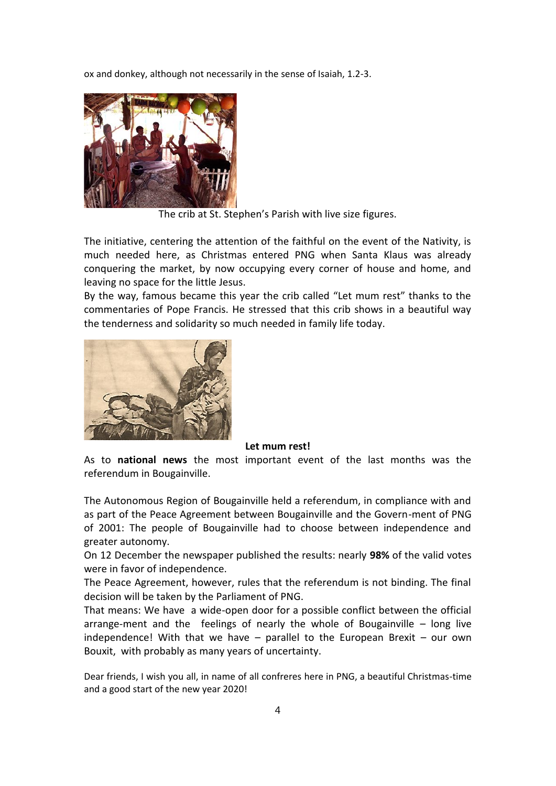ox and donkey, although not necessarily in the sense of Isaiah, 1.2-3.



The crib at St. Stephen's Parish with live size figures.

The initiative, centering the attention of the faithful on the event of the Nativity, is much needed here, as Christmas entered PNG when Santa Klaus was already conquering the market, by now occupying every corner of house and home, and leaving no space for the little Jesus.

By the way, famous became this year the crib called "Let mum rest" thanks to the commentaries of Pope Francis. He stressed that this crib shows in a beautiful way the tenderness and solidarity so much needed in family life today.



## **Let mum rest!**

As to **national news** the most important event of the last months was the referendum in Bougainville.

The Autonomous Region of Bougainville held a referendum, in compliance with and as part of the Peace Agreement between Bougainville and the Govern-ment of PNG of 2001: The people of Bougainville had to choose between independence and greater autonomy.

On 12 December the newspaper published the results: nearly **98%** of the valid votes were in favor of independence.

The Peace Agreement, however, rules that the referendum is not binding. The final decision will be taken by the Parliament of PNG.

That means: We have a wide-open door for a possible conflict between the official arrange-ment and the feelings of nearly the whole of Bougainville – long live independence! With that we have  $-$  parallel to the European Brexit  $-$  our own Bouxit, with probably as many years of uncertainty.

Dear friends, I wish you all, in name of all confreres here in PNG, a beautiful Christmas-time and a good start of the new year 2020!